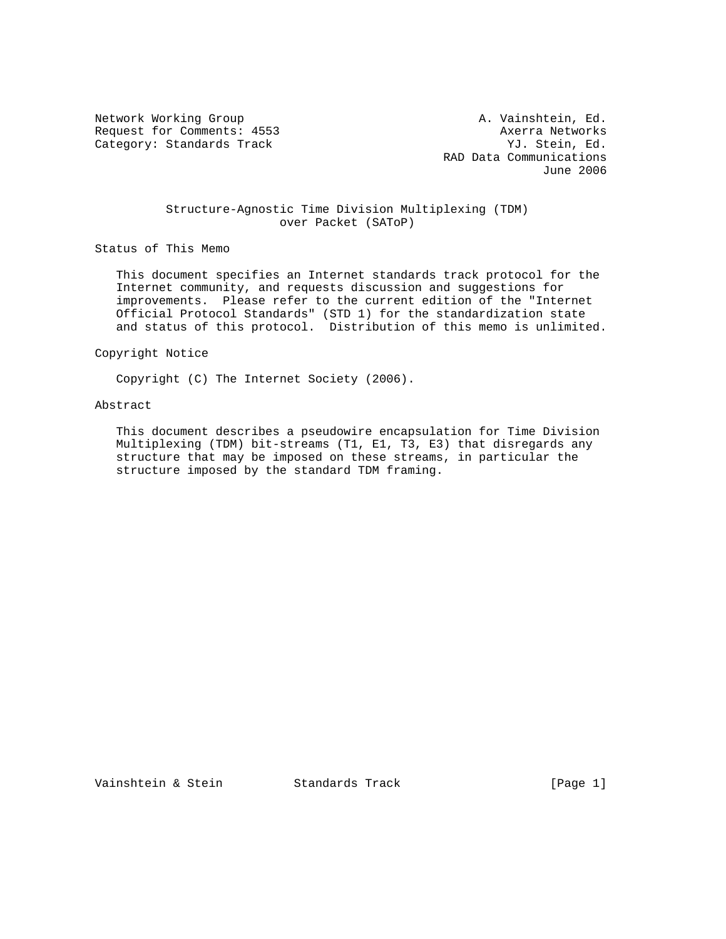Request for Comments: 4553 Axerra Networks<br>
Category: Standards Track (Article 1995) Muslim (Article 1997) Muslim (Article 1997) Category: Standards Track

Network Working Group **A. Vainshtein, Ed.** A. Vainshtein, Ed. RAD Data Communications June 2006

## Structure-Agnostic Time Division Multiplexing (TDM) over Packet (SAToP)

Status of This Memo

 This document specifies an Internet standards track protocol for the Internet community, and requests discussion and suggestions for improvements. Please refer to the current edition of the "Internet Official Protocol Standards" (STD 1) for the standardization state and status of this protocol. Distribution of this memo is unlimited.

Copyright Notice

Copyright (C) The Internet Society (2006).

# Abstract

 This document describes a pseudowire encapsulation for Time Division Multiplexing (TDM) bit-streams (T1, E1, T3, E3) that disregards any structure that may be imposed on these streams, in particular the structure imposed by the standard TDM framing.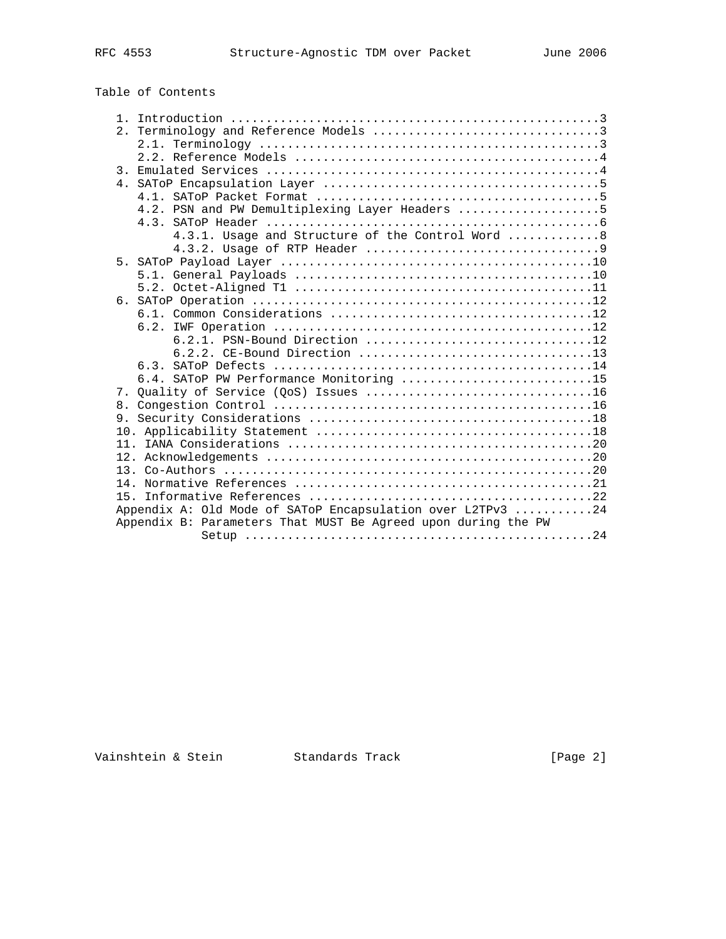| Table of Contents |  |
|-------------------|--|
|-------------------|--|

| 4.2. PSN and PW Demultiplexing Layer Headers 5                |
|---------------------------------------------------------------|
|                                                               |
| 4.3.1. Usage and Structure of the Control Word  8             |
|                                                               |
|                                                               |
|                                                               |
|                                                               |
|                                                               |
|                                                               |
|                                                               |
| 6.2.1. PSN-Bound Direction 12                                 |
| 6.2.2. CE-Bound Direction 13                                  |
|                                                               |
| 6.4. SATOP PW Performance Monitoring 15                       |
|                                                               |
|                                                               |
|                                                               |
|                                                               |
|                                                               |
|                                                               |
|                                                               |
|                                                               |
| 15                                                            |
| Appendix A: Old Mode of SAToP Encapsulation over L2TPv3 24    |
| Appendix B: Parameters That MUST Be Agreed upon during the PW |
|                                                               |

Vainshtein & Stein Standards Track [Page 2]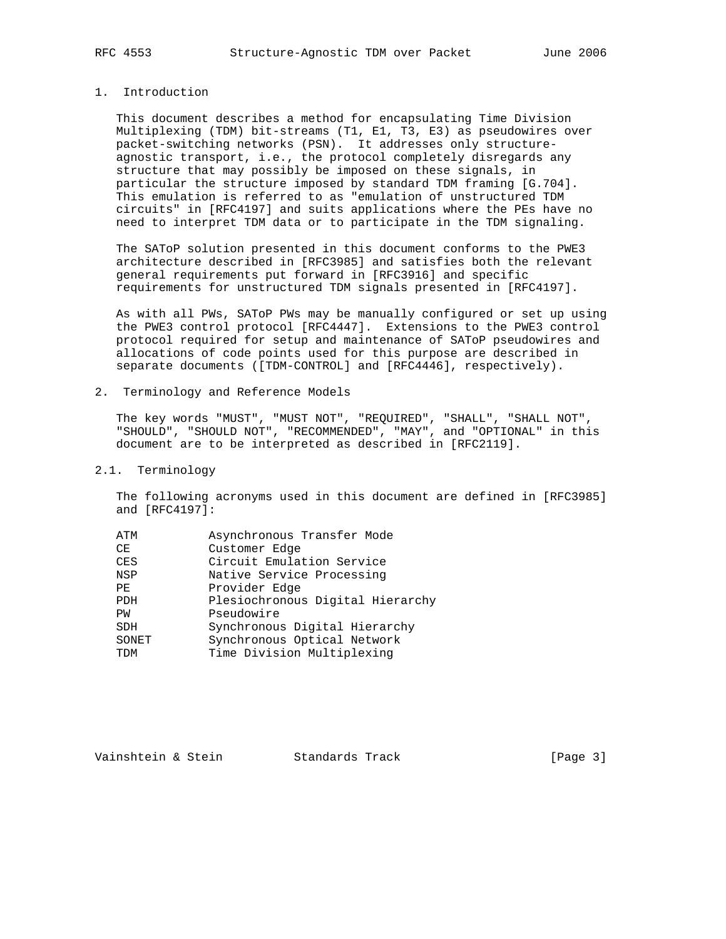# 1. Introduction

 This document describes a method for encapsulating Time Division Multiplexing (TDM) bit-streams (T1, E1, T3, E3) as pseudowires over packet-switching networks (PSN). It addresses only structure agnostic transport, i.e., the protocol completely disregards any structure that may possibly be imposed on these signals, in particular the structure imposed by standard TDM framing [G.704]. This emulation is referred to as "emulation of unstructured TDM circuits" in [RFC4197] and suits applications where the PEs have no need to interpret TDM data or to participate in the TDM signaling.

 The SAToP solution presented in this document conforms to the PWE3 architecture described in [RFC3985] and satisfies both the relevant general requirements put forward in [RFC3916] and specific requirements for unstructured TDM signals presented in [RFC4197].

 As with all PWs, SAToP PWs may be manually configured or set up using the PWE3 control protocol [RFC4447]. Extensions to the PWE3 control protocol required for setup and maintenance of SAToP pseudowires and allocations of code points used for this purpose are described in separate documents ([TDM-CONTROL] and [RFC4446], respectively).

2. Terminology and Reference Models

 The key words "MUST", "MUST NOT", "REQUIRED", "SHALL", "SHALL NOT", "SHOULD", "SHOULD NOT", "RECOMMENDED", "MAY", and "OPTIONAL" in this document are to be interpreted as described in [RFC2119].

#### 2.1. Terminology

 The following acronyms used in this document are defined in [RFC3985] and [RFC4197]:

| ATM        | Asynchronous Transfer Mode       |
|------------|----------------------------------|
| CE         | Customer Edge                    |
| CES        | Circuit Emulation Service        |
| <b>NSP</b> | Native Service Processing        |
| PE         | Provider Edge                    |
| <b>PDH</b> | Plesiochronous Digital Hierarchy |
| PW         | Pseudowire                       |
| <b>SDH</b> | Synchronous Digital Hierarchy    |
| SONET      | Synchronous Optical Network      |
| <b>TDM</b> | Time Division Multiplexing       |
|            |                                  |

Vainshtein & Stein Standards Track [Page 3]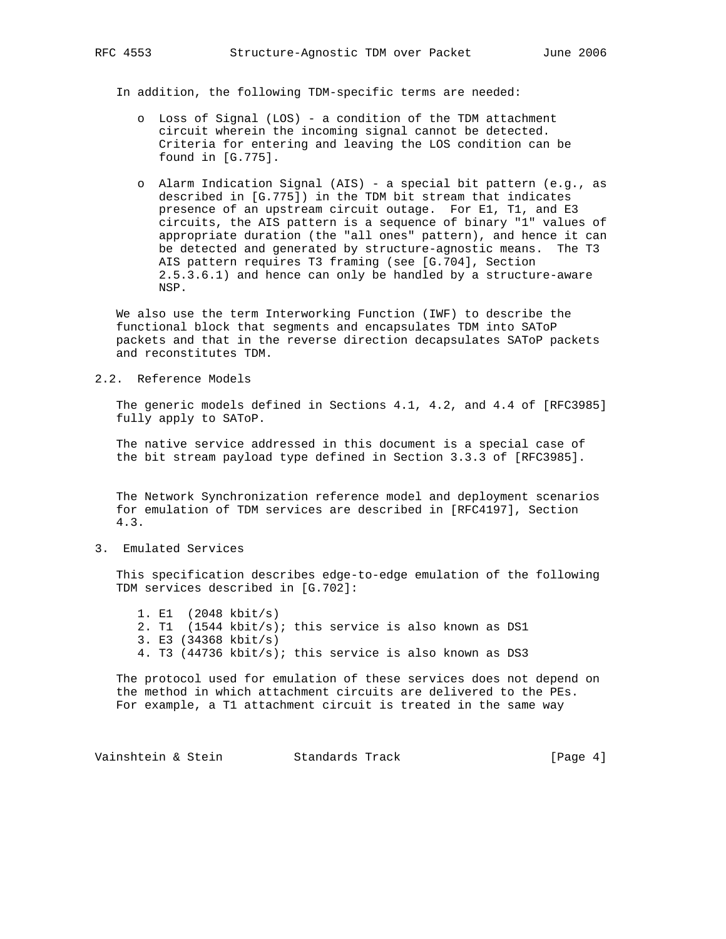In addition, the following TDM-specific terms are needed:

- o Loss of Signal (LOS) a condition of the TDM attachment circuit wherein the incoming signal cannot be detected. Criteria for entering and leaving the LOS condition can be found in [G.775].
- o Alarm Indication Signal (AIS) a special bit pattern (e.g., as described in [G.775]) in the TDM bit stream that indicates presence of an upstream circuit outage. For E1, T1, and E3 circuits, the AIS pattern is a sequence of binary "1" values of appropriate duration (the "all ones" pattern), and hence it can be detected and generated by structure-agnostic means. The T3 AIS pattern requires T3 framing (see [G.704], Section 2.5.3.6.1) and hence can only be handled by a structure-aware NSP.

 We also use the term Interworking Function (IWF) to describe the functional block that segments and encapsulates TDM into SAToP packets and that in the reverse direction decapsulates SAToP packets and reconstitutes TDM.

2.2. Reference Models

 The generic models defined in Sections 4.1, 4.2, and 4.4 of [RFC3985] fully apply to SAToP.

 The native service addressed in this document is a special case of the bit stream payload type defined in Section 3.3.3 of [RFC3985].

 The Network Synchronization reference model and deployment scenarios for emulation of TDM services are described in [RFC4197], Section 4.3.

3. Emulated Services

 This specification describes edge-to-edge emulation of the following TDM services described in [G.702]:

 1. E1 (2048 kbit/s) 2. T1 (1544 kbit/s); this service is also known as DS1 3. E3 (34368 kbit/s) 4. T3 (44736 kbit/s); this service is also known as DS3

 The protocol used for emulation of these services does not depend on the method in which attachment circuits are delivered to the PEs. For example, a T1 attachment circuit is treated in the same way

Vainshtein & Stein Standards Track [Page 4]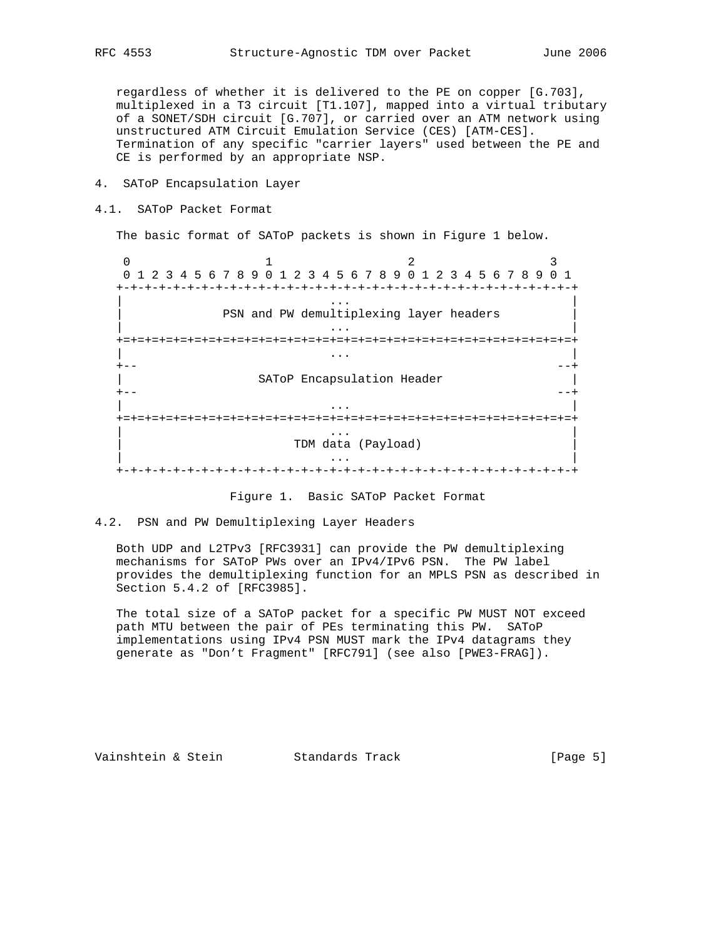regardless of whether it is delivered to the PE on copper [G.703], multiplexed in a T3 circuit [T1.107], mapped into a virtual tributary of a SONET/SDH circuit [G.707], or carried over an ATM network using unstructured ATM Circuit Emulation Service (CES) [ATM-CES]. Termination of any specific "carrier layers" used between the PE and CE is performed by an appropriate NSP.

- 4. SAToP Encapsulation Layer
- 4.1. SAToP Packet Format

The basic format of SAToP packets is shown in Figure 1 below.

0  $1$  2 3 0 1 2 3 4 5 6 7 8 9 0 1 2 3 4 5 6 7 8 9 0 1 2 3 4 5 6 7 8 9 0 1 +-+-+-+-+-+-+-+-+-+-+-+-+-+-+-+-+-+-+-+-+-+-+-+-+-+-+-+-+-+-+-+-+ | ... | ... | ... | ... | ... | ... | ... | ... | ... | ... | ... | ... | ... | ... | ... | ... | ... | ... | . PSN and PW demultiplexing layer headers | ... | ... | ... | ... | ... | ... | ... | ... | ... | ... | ... | ... | ... | ... | ... | ... | ... | ... | . +=+=+=+=+=+=+=+=+=+=+=+=+=+=+=+=+=+=+=+=+=+=+=+=+=+=+=+=+=+=+=+=+ | ... | ... | ... | ... | ... | ... | ... | ... | ... | ... | ... | ... | ... | ... | ... | ... | ... | ... | . +-- --+ SAToP Encapsulation Header +-- --+ | ... | ... | ... | ... | ... | ... | ... | ... | ... | ... | ... | ... | ... | ... | ... | ... | ... | ... | . +=+=+=+=+=+=+=+=+=+=+=+=+=+=+=+=+=+=+=+=+=+=+=+=+=+=+=+=+=+=+=+=+ | ... | ... | ... | ... | ... | ... | ... | ... | ... | ... | ... | ... | ... | ... | ... | ... | ... | ... | . | TDM data (Payload) | | ... | ... | ... | ... | ... | ... | ... | ... | ... | ... | ... | ... | ... | ... | ... | ... | ... | ... | . +-+-+-+-+-+-+-+-+-+-+-+-+-+-+-+-+-+-+-+-+-+-+-+-+-+-+-+-+-+-+-+-+

Figure 1. Basic SAToP Packet Format

## 4.2. PSN and PW Demultiplexing Layer Headers

 Both UDP and L2TPv3 [RFC3931] can provide the PW demultiplexing mechanisms for SAToP PWs over an IPv4/IPv6 PSN. The PW label provides the demultiplexing function for an MPLS PSN as described in Section 5.4.2 of [RFC3985].

 The total size of a SAToP packet for a specific PW MUST NOT exceed path MTU between the pair of PEs terminating this PW. SAToP implementations using IPv4 PSN MUST mark the IPv4 datagrams they generate as "Don't Fragment" [RFC791] (see also [PWE3-FRAG]).

Vainshtein & Stein Standards Track [Page 5]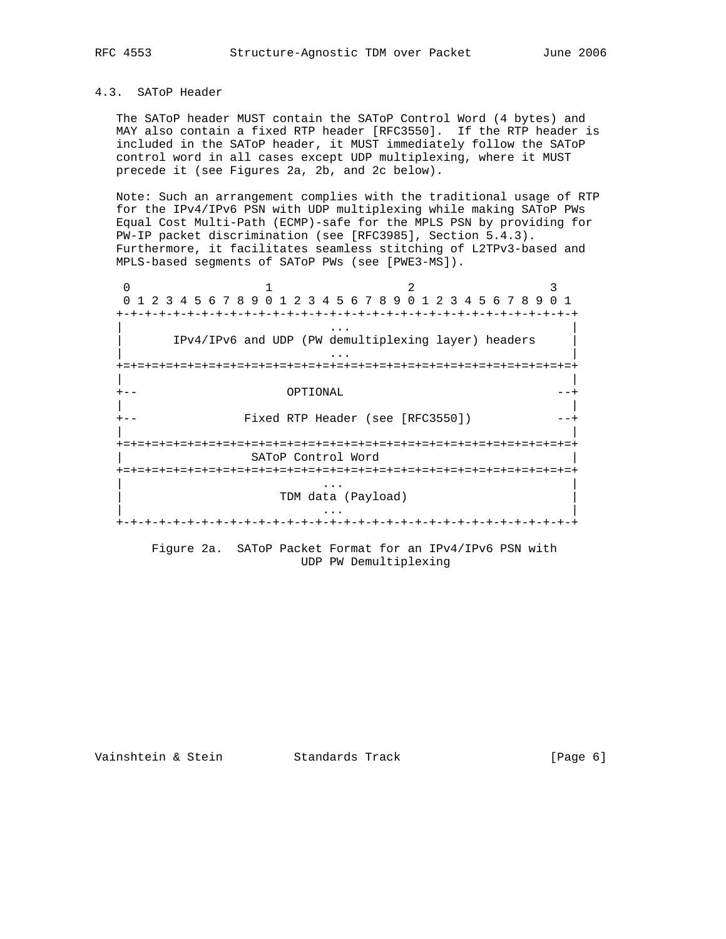## 4.3. SAToP Header

 The SAToP header MUST contain the SAToP Control Word (4 bytes) and MAY also contain a fixed RTP header [RFC3550]. If the RTP header is included in the SAToP header, it MUST immediately follow the SAToP control word in all cases except UDP multiplexing, where it MUST precede it (see Figures 2a, 2b, and 2c below).

 Note: Such an arrangement complies with the traditional usage of RTP for the IPv4/IPv6 PSN with UDP multiplexing while making SAToP PWs Equal Cost Multi-Path (ECMP)-safe for the MPLS PSN by providing for PW-IP packet discrimination (see [RFC3985], Section 5.4.3). Furthermore, it facilitates seamless stitching of L2TPv3-based and MPLS-based segments of SAToP PWs (see [PWE3-MS]).

0  $1$  2 3 0 1 2 3 4 5 6 7 8 9 0 1 2 3 4 5 6 7 8 9 0 1 2 3 4 5 6 7 8 9 0 1 +-+-+-+-+-+-+-+-+-+-+-+-+-+-+-+-+-+-+-+-+-+-+-+-+-+-+-+-+-+-+-+-+ | ... | ... | ... | ... | ... | ... | ... | ... | ... | ... | ... | ... | ... | ... | ... | ... | ... | ... | . | IPv4/IPv6 and UDP (PW demultiplexing layer) headers | | ... | ... | ... | ... | ... | ... | ... | ... | ... | ... | ... | ... | ... | ... | ... | ... | ... | ... | . +=+=+=+=+=+=+=+=+=+=+=+=+=+=+=+=+=+=+=+=+=+=+=+=+=+=+=+=+=+=+=+=+ | | +-- OPTIONAL --+ | | Fixed RTP Header (see [RFC3550]) | | +=+=+=+=+=+=+=+=+=+=+=+=+=+=+=+=+=+=+=+=+=+=+=+=+=+=+=+=+=+=+=+=+ | SAToP Control Word | +=+=+=+=+=+=+=+=+=+=+=+=+=+=+=+=+=+=+=+=+=+=+=+=+=+=+=+=+=+=+=+=+ | ... | ... | ... | ... | ... | ... | ... | ... | ... | ... | ... | ... | ... | ... | ... | ... | ... | ... | 1 | TDM data (Payload) | | ... | ... | ... | ... | ... | ... | ... | ... | ... | ... | ... | ... | ... | ... | ... | ... | ... | ... | 1 +-+-+-+-+-+-+-+-+-+-+-+-+-+-+-+-+-+-+-+-+-+-+-+-+-+-+-+-+-+-+-+-+

> Figure 2a. SAToP Packet Format for an IPv4/IPv6 PSN with UDP PW Demultiplexing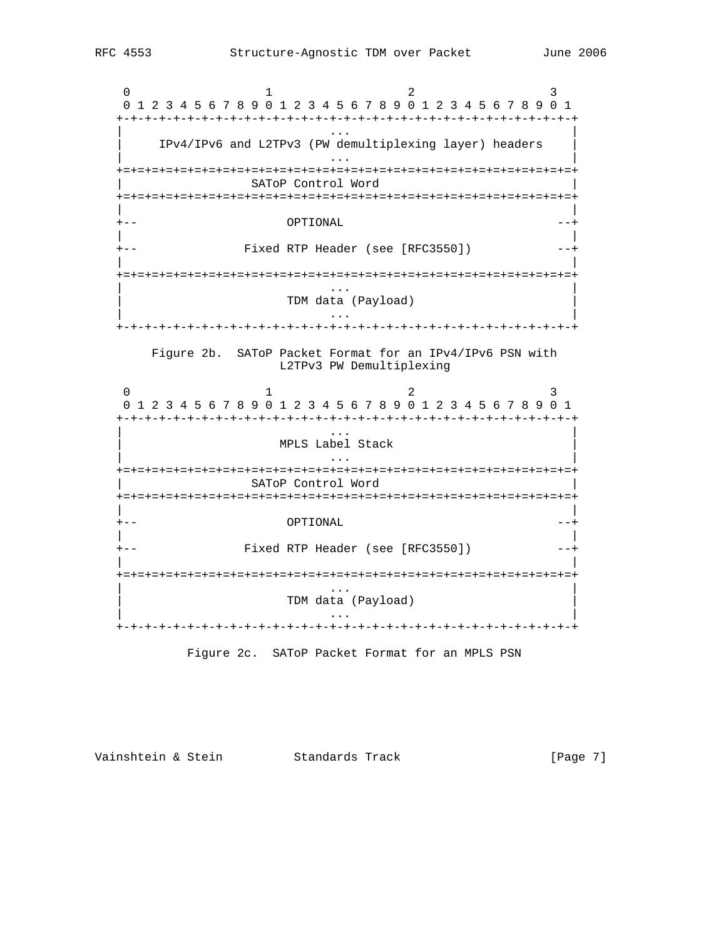0  $1$  2 3 0 1 2 3 4 5 6 7 8 9 0 1 2 3 4 5 6 7 8 9 0 1 2 3 4 5 6 7 8 9 0 1 +-+-+-+-+-+-+-+-+-+-+-+-+-+-+-+-+-+-+-+-+-+-+-+-+-+-+-+-+-+-+-+-+ | ... | ... | ... | ... | ... | ... | ... | ... | ... | ... | ... | ... | ... | ... | ... | ... | ... | ... | . | IPv4/IPv6 and L2TPv3 (PW demultiplexing layer) headers | | ... | ... | ... | ... | ... | ... | ... | ... | ... | ... | ... | ... | ... | ... | ... | ... | ... | ... | . +=+=+=+=+=+=+=+=+=+=+=+=+=+=+=+=+=+=+=+=+=+=+=+=+=+=+=+=+=+=+=+=+ SAToP Control Word +=+=+=+=+=+=+=+=+=+=+=+=+=+=+=+=+=+=+=+=+=+=+=+=+=+=+=+=+=+=+=+=+ | | +-- OPTIONAL --+ | | +-- Fixed RTP Header (see [RFC3550]) --+ | | +=+=+=+=+=+=+=+=+=+=+=+=+=+=+=+=+=+=+=+=+=+=+=+=+=+=+=+=+=+=+=+=+ | ... | ... | ... | ... | ... | ... | ... | ... | ... | ... | ... | ... | ... | ... | ... | ... | ... | ... | . | TDM data (Payload) | | ... | ... | ... | ... | ... | ... | ... | ... | ... | ... | ... | ... | ... | ... | ... | ... | ... | ... | . +-+-+-+-+-+-+-+-+-+-+-+-+-+-+-+-+-+-+-+-+-+-+-+-+-+-+-+-+-+-+-+-+ Figure 2b. SAToP Packet Format for an IPv4/IPv6 PSN with L2TPv3 PW Demultiplexing 0  $1$  2 3 0 1 2 3 4 5 6 7 8 9 0 1 2 3 4 5 6 7 8 9 0 1 2 3 4 5 6 7 8 9 0 1 +-+-+-+-+-+-+-+-+-+-+-+-+-+-+-+-+-+-+-+-+-+-+-+-+-+-+-+-+-+-+-+-+ | ... | ... | ... | ... | ... | ... | ... | ... | ... | ... | ... | ... | ... | ... | ... | ... | ... | ... | . | MPLS Label Stack | | ... | ... | ... | ... | ... | ... | ... | ... | ... | ... | ... | ... | ... | ... | ... | ... | ... | ... | . +=+=+=+=+=+=+=+=+=+=+=+=+=+=+=+=+=+=+=+=+=+=+=+=+=+=+=+=+=+=+=+=+ SAToP Control Word +=+=+=+=+=+=+=+=+=+=+=+=+=+=+=+=+=+=+=+=+=+=+=+=+=+=+=+=+=+=+=+=+ | | +-- OPTIONAL --+ | | +-- Fixed RTP Header (see [RFC3550]) --+ | | +=+=+=+=+=+=+=+=+=+=+=+=+=+=+=+=+=+=+=+=+=+=+=+=+=+=+=+=+=+=+=+=+ | ... | ... | ... | ... | ... | ... | ... | ... | ... | ... | ... | ... | ... | ... | ... | ... | ... | ... | . | TDM data (Payload) | | ... | ... | ... | ... | ... | ... | ... | ... | ... | ... | ... | ... | ... | ... | ... | ... | ... | ... | . +-+-+-+-+-+-+-+-+-+-+-+-+-+-+-+-+-+-+-+-+-+-+-+-+-+-+-+-+-+-+-+-+

Figure 2c. SAToP Packet Format for an MPLS PSN

Vainshtein & Stein Standards Track [Page 7]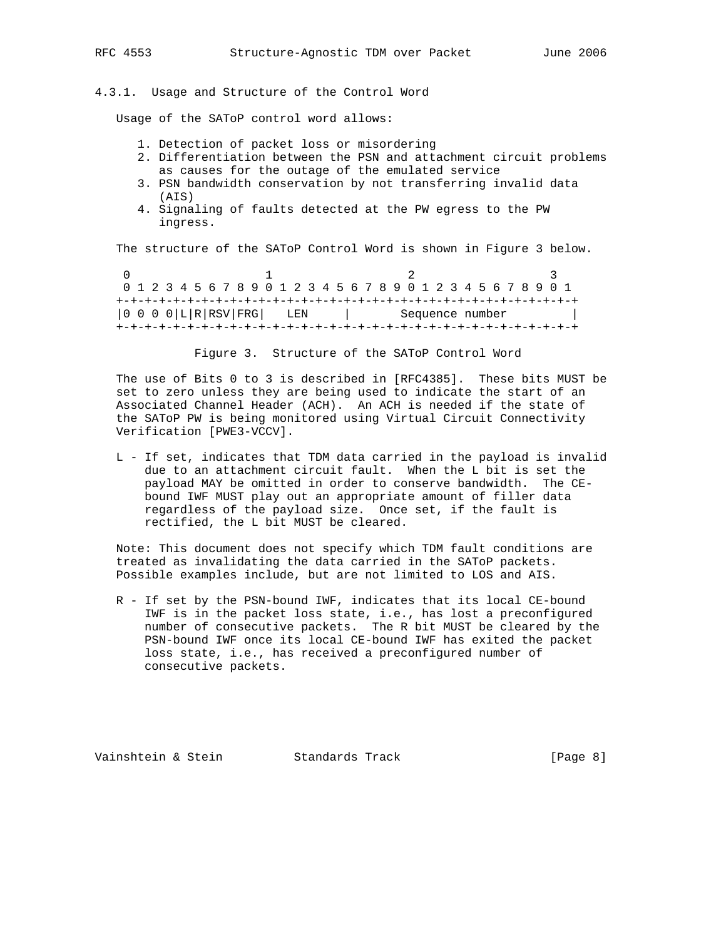## 4.3.1. Usage and Structure of the Control Word

Usage of the SAToP control word allows:

- 1. Detection of packet loss or misordering
- 2. Differentiation between the PSN and attachment circuit problems as causes for the outage of the emulated service
- 3. PSN bandwidth conservation by not transferring invalid data (AIS)
- 4. Signaling of faults detected at the PW egress to the PW ingress.

The structure of the SAToP Control Word is shown in Figure 3 below.

0  $1$  2 3 0 1 2 3 4 5 6 7 8 9 0 1 2 3 4 5 6 7 8 9 0 1 2 3 4 5 6 7 8 9 0 1 +-+-+-+-+-+-+-+-+-+-+-+-+-+-+-+-+-+-+-+-+-+-+-+-+-+-+-+-+-+-+-+-+ |0 0 0 0|L|R|RSV|FRG| LEN | Sequence number | +-+-+-+-+-+-+-+-+-+-+-+-+-+-+-+-+-+-+-+-+-+-+-+-+-+-+-+-+-+-+-+-+

Figure 3. Structure of the SAToP Control Word

 The use of Bits 0 to 3 is described in [RFC4385]. These bits MUST be set to zero unless they are being used to indicate the start of an Associated Channel Header (ACH). An ACH is needed if the state of the SAToP PW is being monitored using Virtual Circuit Connectivity Verification [PWE3-VCCV].

 L - If set, indicates that TDM data carried in the payload is invalid due to an attachment circuit fault. When the L bit is set the payload MAY be omitted in order to conserve bandwidth. The CE bound IWF MUST play out an appropriate amount of filler data regardless of the payload size. Once set, if the fault is rectified, the L bit MUST be cleared.

 Note: This document does not specify which TDM fault conditions are treated as invalidating the data carried in the SAToP packets. Possible examples include, but are not limited to LOS and AIS.

 R - If set by the PSN-bound IWF, indicates that its local CE-bound IWF is in the packet loss state, i.e., has lost a preconfigured number of consecutive packets. The R bit MUST be cleared by the PSN-bound IWF once its local CE-bound IWF has exited the packet loss state, i.e., has received a preconfigured number of consecutive packets.

Vainshtein & Stein Standards Track [Page 8]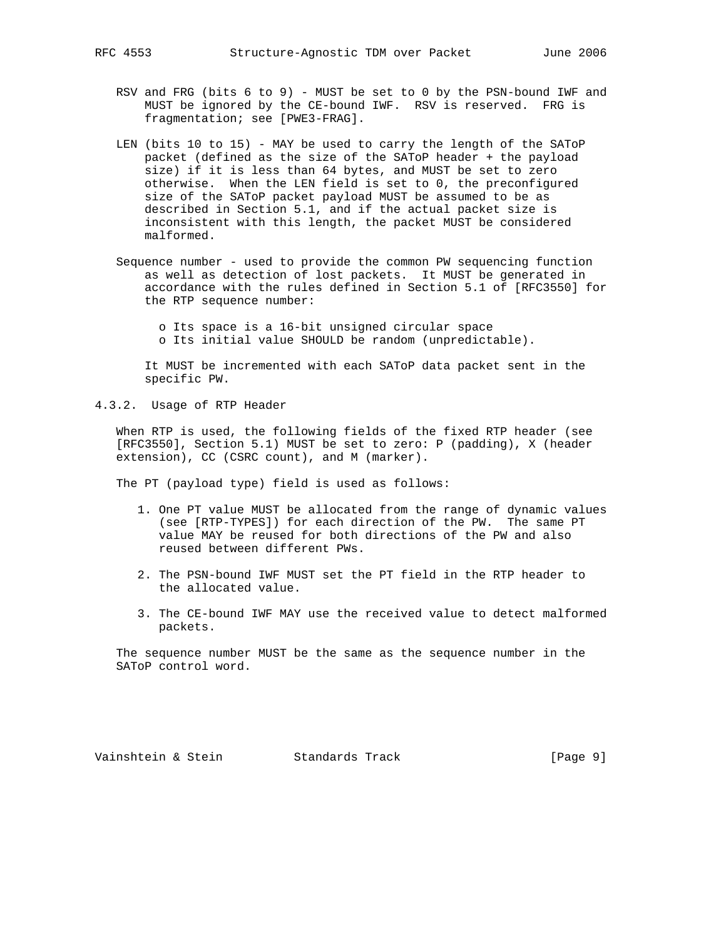- RSV and FRG (bits 6 to 9) MUST be set to 0 by the PSN-bound IWF and MUST be ignored by the CE-bound IWF. RSV is reserved. FRG is fragmentation; see [PWE3-FRAG].
- LEN (bits 10 to 15) MAY be used to carry the length of the SAToP packet (defined as the size of the SAToP header + the payload size) if it is less than 64 bytes, and MUST be set to zero otherwise. When the LEN field is set to 0, the preconfigured size of the SAToP packet payload MUST be assumed to be as described in Section 5.1, and if the actual packet size is inconsistent with this length, the packet MUST be considered malformed.
- Sequence number used to provide the common PW sequencing function as well as detection of lost packets. It MUST be generated in accordance with the rules defined in Section 5.1 of [RFC3550] for the RTP sequence number:

 o Its space is a 16-bit unsigned circular space o Its initial value SHOULD be random (unpredictable).

 It MUST be incremented with each SAToP data packet sent in the specific PW.

4.3.2. Usage of RTP Header

 When RTP is used, the following fields of the fixed RTP header (see [RFC3550], Section 5.1) MUST be set to zero: P (padding), X (header extension), CC (CSRC count), and M (marker).

The PT (payload type) field is used as follows:

- 1. One PT value MUST be allocated from the range of dynamic values (see [RTP-TYPES]) for each direction of the PW. The same PT value MAY be reused for both directions of the PW and also reused between different PWs.
- 2. The PSN-bound IWF MUST set the PT field in the RTP header to the allocated value.
- 3. The CE-bound IWF MAY use the received value to detect malformed packets.

 The sequence number MUST be the same as the sequence number in the SAToP control word.

Vainshtein & Stein Standards Track [Page 9]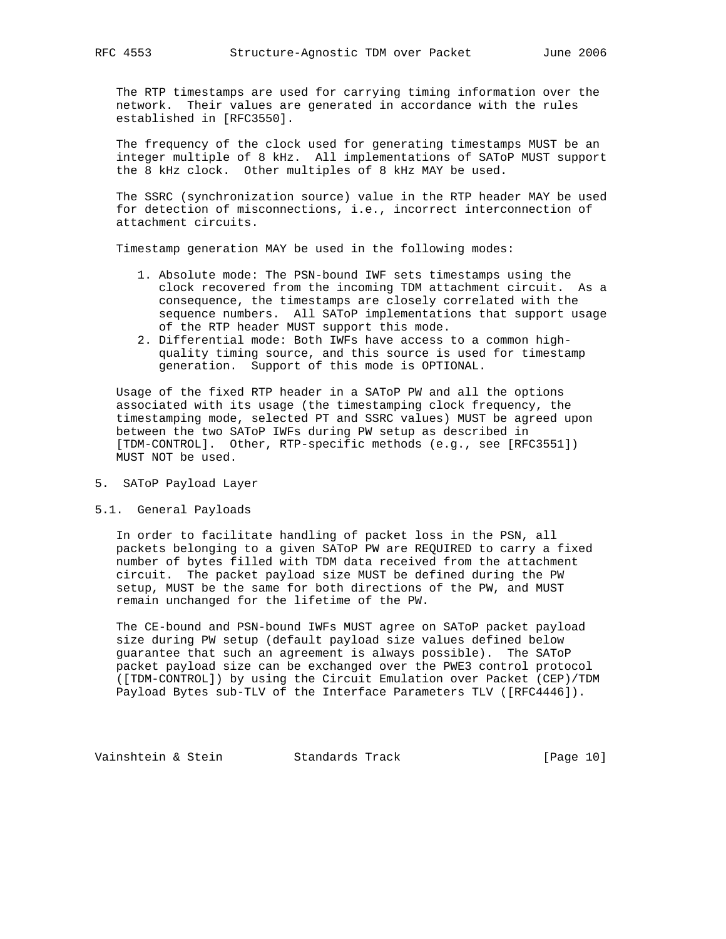The RTP timestamps are used for carrying timing information over the network. Their values are generated in accordance with the rules established in [RFC3550].

 The frequency of the clock used for generating timestamps MUST be an integer multiple of 8 kHz. All implementations of SAToP MUST support the 8 kHz clock. Other multiples of 8 kHz MAY be used.

 The SSRC (synchronization source) value in the RTP header MAY be used for detection of misconnections, i.e., incorrect interconnection of attachment circuits.

Timestamp generation MAY be used in the following modes:

- 1. Absolute mode: The PSN-bound IWF sets timestamps using the clock recovered from the incoming TDM attachment circuit. As a consequence, the timestamps are closely correlated with the sequence numbers. All SAToP implementations that support usage of the RTP header MUST support this mode.
- 2. Differential mode: Both IWFs have access to a common high quality timing source, and this source is used for timestamp generation. Support of this mode is OPTIONAL.

 Usage of the fixed RTP header in a SAToP PW and all the options associated with its usage (the timestamping clock frequency, the timestamping mode, selected PT and SSRC values) MUST be agreed upon between the two SAToP IWFs during PW setup as described in [TDM-CONTROL]. Other, RTP-specific methods (e.g., see [RFC3551]) MUST NOT be used.

- 5. SAToP Payload Layer
- 5.1. General Payloads

 In order to facilitate handling of packet loss in the PSN, all packets belonging to a given SAToP PW are REQUIRED to carry a fixed number of bytes filled with TDM data received from the attachment circuit. The packet payload size MUST be defined during the PW setup, MUST be the same for both directions of the PW, and MUST remain unchanged for the lifetime of the PW.

 The CE-bound and PSN-bound IWFs MUST agree on SAToP packet payload size during PW setup (default payload size values defined below guarantee that such an agreement is always possible). The SAToP packet payload size can be exchanged over the PWE3 control protocol ([TDM-CONTROL]) by using the Circuit Emulation over Packet (CEP)/TDM Payload Bytes sub-TLV of the Interface Parameters TLV ([RFC4446]).

Vainshtein & Stein Standards Track [Page 10]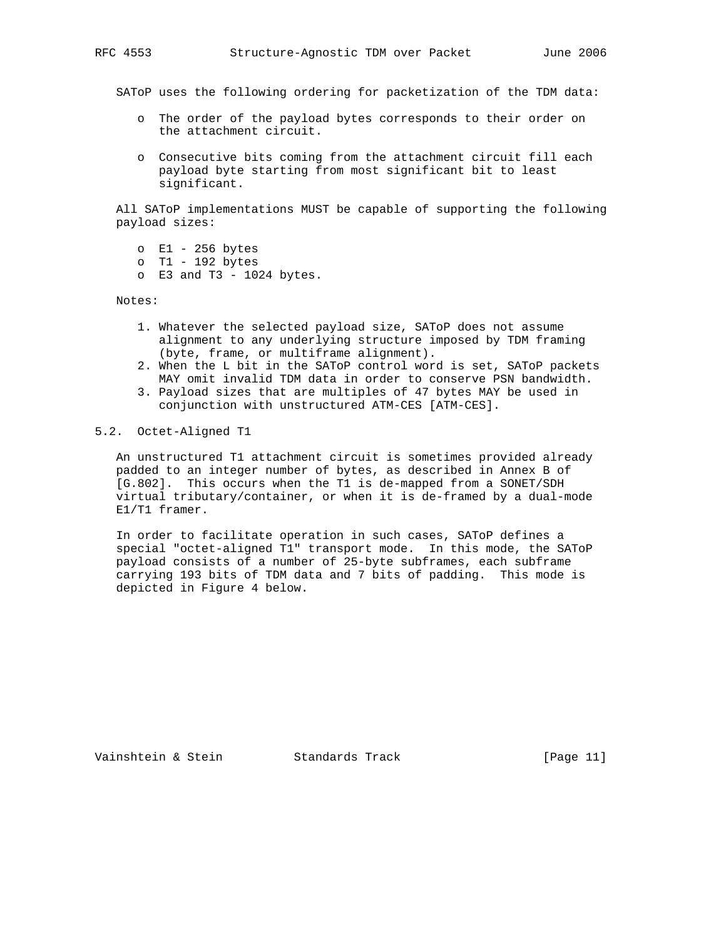SAToP uses the following ordering for packetization of the TDM data:

- o The order of the payload bytes corresponds to their order on the attachment circuit.
- o Consecutive bits coming from the attachment circuit fill each payload byte starting from most significant bit to least significant.

 All SAToP implementations MUST be capable of supporting the following payload sizes:

- o E1 256 bytes
- o T1 192 bytes
- o  $E3$  and  $T3 1024$  bytes.

Notes:

- 1. Whatever the selected payload size, SAToP does not assume alignment to any underlying structure imposed by TDM framing (byte, frame, or multiframe alignment).
- 2. When the L bit in the SAToP control word is set, SAToP packets MAY omit invalid TDM data in order to conserve PSN bandwidth.
- 3. Payload sizes that are multiples of 47 bytes MAY be used in conjunction with unstructured ATM-CES [ATM-CES].

## 5.2. Octet-Aligned T1

 An unstructured T1 attachment circuit is sometimes provided already padded to an integer number of bytes, as described in Annex B of [G.802]. This occurs when the T1 is de-mapped from a SONET/SDH virtual tributary/container, or when it is de-framed by a dual-mode E1/T1 framer.

 In order to facilitate operation in such cases, SAToP defines a special "octet-aligned T1" transport mode. In this mode, the SAToP payload consists of a number of 25-byte subframes, each subframe carrying 193 bits of TDM data and 7 bits of padding. This mode is depicted in Figure 4 below.

Vainshtein & Stein Standards Track [Page 11]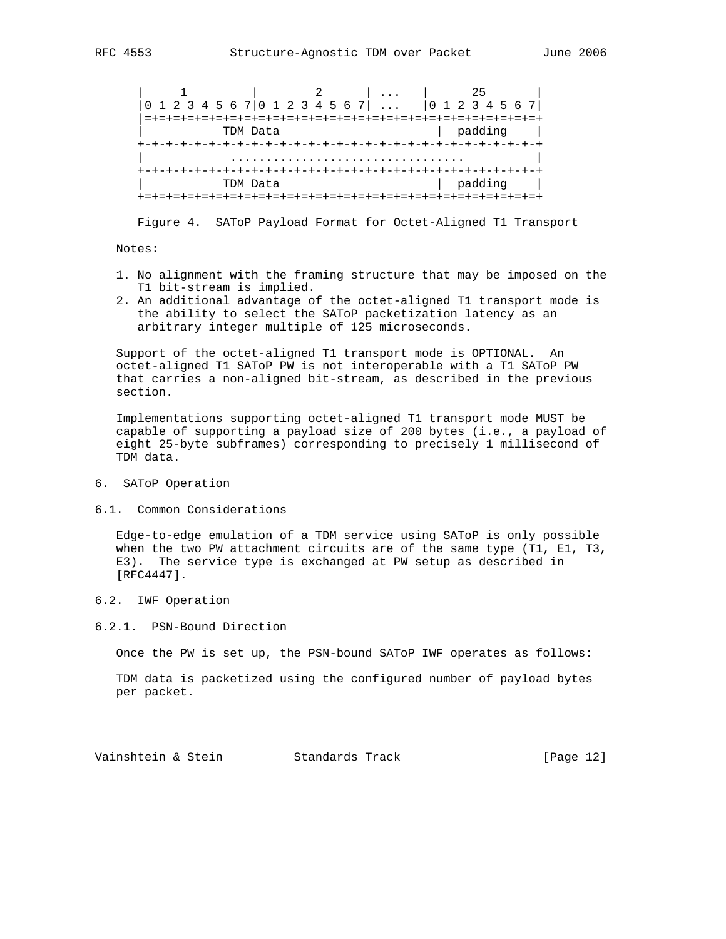| 1 | 2 | ... | 25 | |0 1 2 3 4 5 6 7|0 1 2 3 4 5 6 7| ... |0 1 2 3 4 5 6 7| |=+=+=+=+=+=+=+=+=+=+=+=+=+=+=+=+=+=+=+=+=+=+=+=+=+=+=+=+ | TDM Data | padding | +-+-+-+-+-+-+-+-+-+-+-+-+-+-+-+-+-+-+-+-+-+-+-+-+-+-+-+-+ | ................................. | +-+-+-+-+-+-+-+-+-+-+-+-+-+-+-+-+-+-+-+-+-+-+-+-+-+-+-+-+ | TDM Data | padding | +=+=+=+=+=+=+=+=+=+=+=+=+=+=+=+=+=+=+=+=+=+=+=+=+=+=+=+=+

Figure 4. SAToP Payload Format for Octet-Aligned T1 Transport

Notes:

- 1. No alignment with the framing structure that may be imposed on the T1 bit-stream is implied.
- 2. An additional advantage of the octet-aligned T1 transport mode is the ability to select the SAToP packetization latency as an arbitrary integer multiple of 125 microseconds.

 Support of the octet-aligned T1 transport mode is OPTIONAL. An octet-aligned T1 SAToP PW is not interoperable with a T1 SAToP PW that carries a non-aligned bit-stream, as described in the previous section.

 Implementations supporting octet-aligned T1 transport mode MUST be capable of supporting a payload size of 200 bytes (i.e., a payload of eight 25-byte subframes) corresponding to precisely 1 millisecond of TDM data.

- 6. SAToP Operation
- 6.1. Common Considerations

 Edge-to-edge emulation of a TDM service using SAToP is only possible when the two PW attachment circuits are of the same type (T1, E1, T3, E3). The service type is exchanged at PW setup as described in [RFC4447].

6.2. IWF Operation

6.2.1. PSN-Bound Direction

Once the PW is set up, the PSN-bound SAToP IWF operates as follows:

 TDM data is packetized using the configured number of payload bytes per packet.

Vainshtein & Stein Standards Track [Page 12]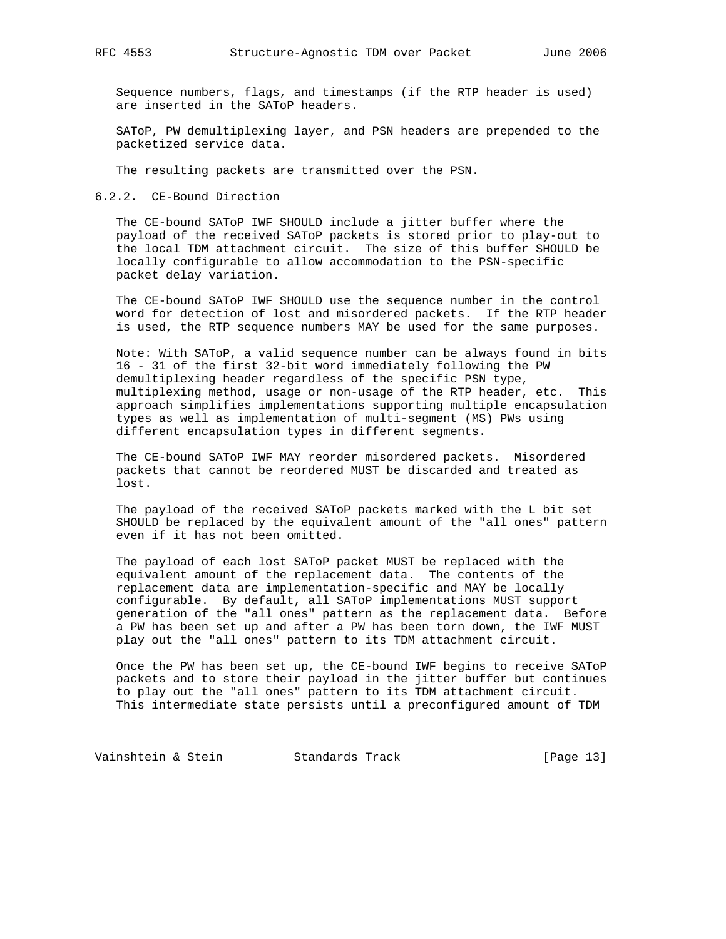Sequence numbers, flags, and timestamps (if the RTP header is used) are inserted in the SAToP headers.

 SAToP, PW demultiplexing layer, and PSN headers are prepended to the packetized service data.

The resulting packets are transmitted over the PSN.

#### 6.2.2. CE-Bound Direction

 The CE-bound SAToP IWF SHOULD include a jitter buffer where the payload of the received SAToP packets is stored prior to play-out to the local TDM attachment circuit. The size of this buffer SHOULD be locally configurable to allow accommodation to the PSN-specific packet delay variation.

 The CE-bound SAToP IWF SHOULD use the sequence number in the control word for detection of lost and misordered packets. If the RTP header is used, the RTP sequence numbers MAY be used for the same purposes.

 Note: With SAToP, a valid sequence number can be always found in bits 16 - 31 of the first 32-bit word immediately following the PW demultiplexing header regardless of the specific PSN type, multiplexing method, usage or non-usage of the RTP header, etc. This approach simplifies implementations supporting multiple encapsulation types as well as implementation of multi-segment (MS) PWs using different encapsulation types in different segments.

 The CE-bound SAToP IWF MAY reorder misordered packets. Misordered packets that cannot be reordered MUST be discarded and treated as lost.

 The payload of the received SAToP packets marked with the L bit set SHOULD be replaced by the equivalent amount of the "all ones" pattern even if it has not been omitted.

 The payload of each lost SAToP packet MUST be replaced with the equivalent amount of the replacement data. The contents of the replacement data are implementation-specific and MAY be locally configurable. By default, all SAToP implementations MUST support generation of the "all ones" pattern as the replacement data. Before a PW has been set up and after a PW has been torn down, the IWF MUST play out the "all ones" pattern to its TDM attachment circuit.

 Once the PW has been set up, the CE-bound IWF begins to receive SAToP packets and to store their payload in the jitter buffer but continues to play out the "all ones" pattern to its TDM attachment circuit. This intermediate state persists until a preconfigured amount of TDM

Vainshtein & Stein Standards Track [Page 13]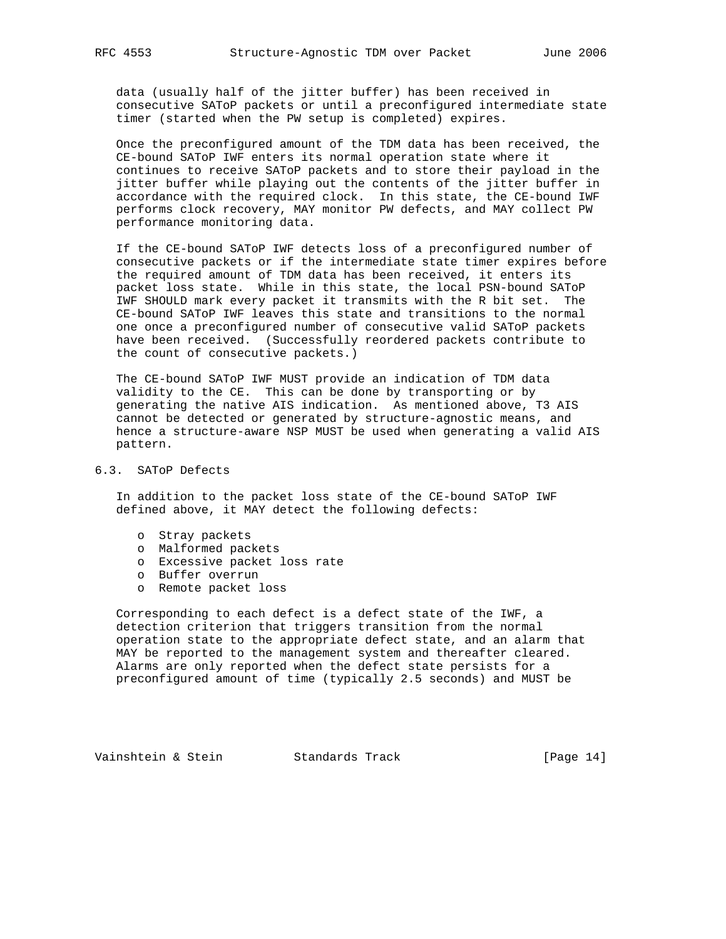data (usually half of the jitter buffer) has been received in consecutive SAToP packets or until a preconfigured intermediate state timer (started when the PW setup is completed) expires.

 Once the preconfigured amount of the TDM data has been received, the CE-bound SAToP IWF enters its normal operation state where it continues to receive SAToP packets and to store their payload in the jitter buffer while playing out the contents of the jitter buffer in accordance with the required clock. In this state, the CE-bound IWF performs clock recovery, MAY monitor PW defects, and MAY collect PW performance monitoring data.

 If the CE-bound SAToP IWF detects loss of a preconfigured number of consecutive packets or if the intermediate state timer expires before the required amount of TDM data has been received, it enters its packet loss state. While in this state, the local PSN-bound SAToP IWF SHOULD mark every packet it transmits with the R bit set. The CE-bound SAToP IWF leaves this state and transitions to the normal one once a preconfigured number of consecutive valid SAToP packets have been received. (Successfully reordered packets contribute to the count of consecutive packets.)

 The CE-bound SAToP IWF MUST provide an indication of TDM data validity to the CE. This can be done by transporting or by generating the native AIS indication. As mentioned above, T3 AIS cannot be detected or generated by structure-agnostic means, and hence a structure-aware NSP MUST be used when generating a valid AIS pattern.

## 6.3. SAToP Defects

 In addition to the packet loss state of the CE-bound SAToP IWF defined above, it MAY detect the following defects:

- o Stray packets
- o Malformed packets
- o Excessive packet loss rate
- o Buffer overrun
- o Remote packet loss

 Corresponding to each defect is a defect state of the IWF, a detection criterion that triggers transition from the normal operation state to the appropriate defect state, and an alarm that MAY be reported to the management system and thereafter cleared. Alarms are only reported when the defect state persists for a preconfigured amount of time (typically 2.5 seconds) and MUST be

Vainshtein & Stein Standards Track [Page 14]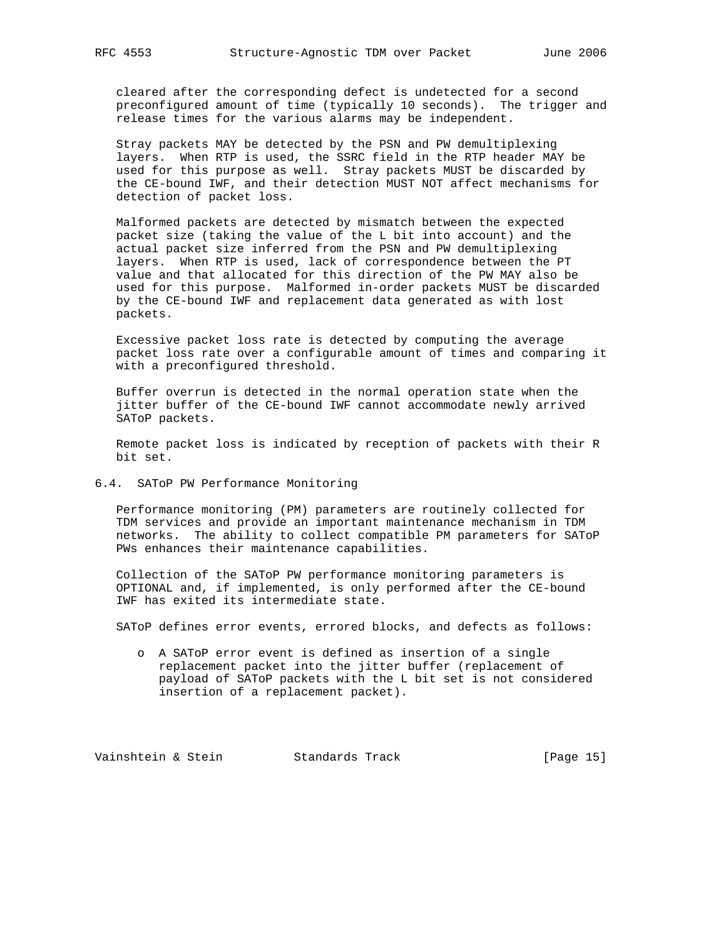cleared after the corresponding defect is undetected for a second preconfigured amount of time (typically 10 seconds). The trigger and release times for the various alarms may be independent.

 Stray packets MAY be detected by the PSN and PW demultiplexing layers. When RTP is used, the SSRC field in the RTP header MAY be used for this purpose as well. Stray packets MUST be discarded by the CE-bound IWF, and their detection MUST NOT affect mechanisms for detection of packet loss.

 Malformed packets are detected by mismatch between the expected packet size (taking the value of the L bit into account) and the actual packet size inferred from the PSN and PW demultiplexing layers. When RTP is used, lack of correspondence between the PT value and that allocated for this direction of the PW MAY also be used for this purpose. Malformed in-order packets MUST be discarded by the CE-bound IWF and replacement data generated as with lost packets.

 Excessive packet loss rate is detected by computing the average packet loss rate over a configurable amount of times and comparing it with a preconfigured threshold.

 Buffer overrun is detected in the normal operation state when the jitter buffer of the CE-bound IWF cannot accommodate newly arrived SAToP packets.

 Remote packet loss is indicated by reception of packets with their R bit set.

#### 6.4. SAToP PW Performance Monitoring

 Performance monitoring (PM) parameters are routinely collected for TDM services and provide an important maintenance mechanism in TDM networks. The ability to collect compatible PM parameters for SAToP PWs enhances their maintenance capabilities.

 Collection of the SAToP PW performance monitoring parameters is OPTIONAL and, if implemented, is only performed after the CE-bound IWF has exited its intermediate state.

SAToP defines error events, errored blocks, and defects as follows:

 o A SAToP error event is defined as insertion of a single replacement packet into the jitter buffer (replacement of payload of SAToP packets with the L bit set is not considered insertion of a replacement packet).

Vainshtein & Stein Standards Track [Page 15]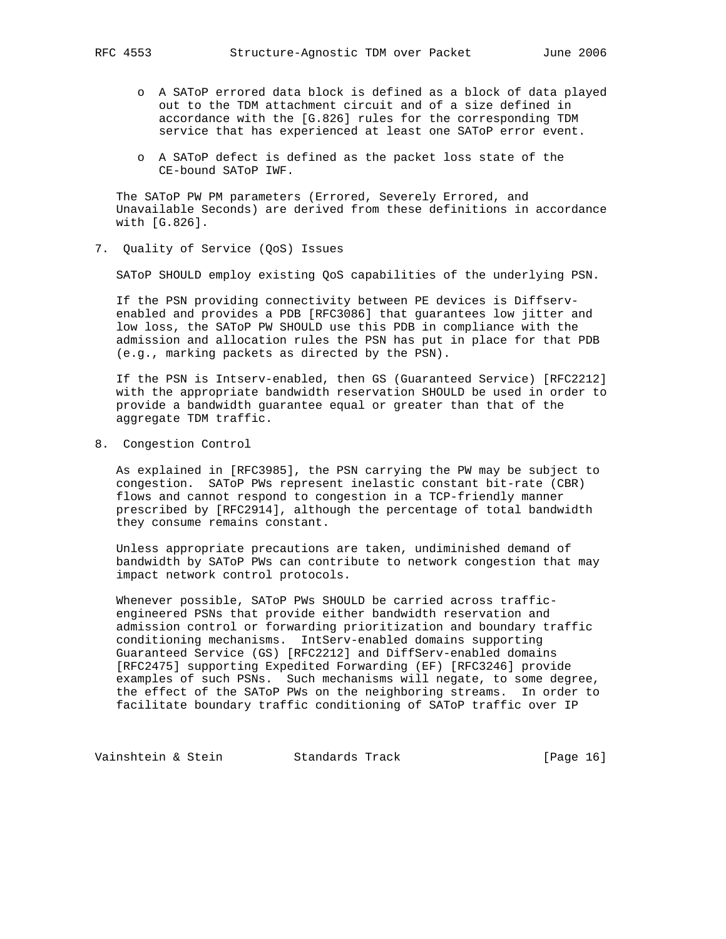- o A SAToP errored data block is defined as a block of data played out to the TDM attachment circuit and of a size defined in accordance with the [G.826] rules for the corresponding TDM service that has experienced at least one SAToP error event.
- o A SAToP defect is defined as the packet loss state of the CE-bound SAToP IWF.

 The SAToP PW PM parameters (Errored, Severely Errored, and Unavailable Seconds) are derived from these definitions in accordance with [G.826].

7. Quality of Service (QoS) Issues

SAToP SHOULD employ existing QoS capabilities of the underlying PSN.

 If the PSN providing connectivity between PE devices is Diffserv enabled and provides a PDB [RFC3086] that guarantees low jitter and low loss, the SAToP PW SHOULD use this PDB in compliance with the admission and allocation rules the PSN has put in place for that PDB (e.g., marking packets as directed by the PSN).

 If the PSN is Intserv-enabled, then GS (Guaranteed Service) [RFC2212] with the appropriate bandwidth reservation SHOULD be used in order to provide a bandwidth guarantee equal or greater than that of the aggregate TDM traffic.

8. Congestion Control

 As explained in [RFC3985], the PSN carrying the PW may be subject to congestion. SAToP PWs represent inelastic constant bit-rate (CBR) flows and cannot respond to congestion in a TCP-friendly manner prescribed by [RFC2914], although the percentage of total bandwidth they consume remains constant.

 Unless appropriate precautions are taken, undiminished demand of bandwidth by SAToP PWs can contribute to network congestion that may impact network control protocols.

 Whenever possible, SAToP PWs SHOULD be carried across traffic engineered PSNs that provide either bandwidth reservation and admission control or forwarding prioritization and boundary traffic conditioning mechanisms. IntServ-enabled domains supporting Guaranteed Service (GS) [RFC2212] and DiffServ-enabled domains [RFC2475] supporting Expedited Forwarding (EF) [RFC3246] provide examples of such PSNs. Such mechanisms will negate, to some degree, the effect of the SAToP PWs on the neighboring streams. In order to facilitate boundary traffic conditioning of SAToP traffic over IP

Vainshtein & Stein Standards Track [Page 16]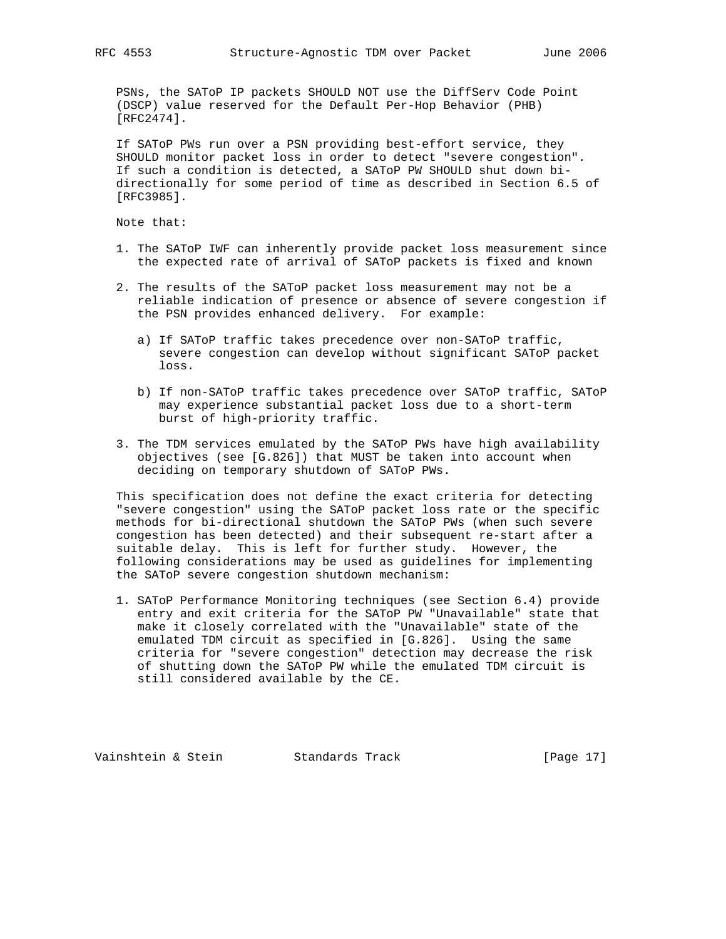PSNs, the SAToP IP packets SHOULD NOT use the DiffServ Code Point (DSCP) value reserved for the Default Per-Hop Behavior (PHB) [RFC2474].

 If SAToP PWs run over a PSN providing best-effort service, they SHOULD monitor packet loss in order to detect "severe congestion". If such a condition is detected, a SAToP PW SHOULD shut down bi directionally for some period of time as described in Section 6.5 of [RFC3985].

Note that:

- 1. The SAToP IWF can inherently provide packet loss measurement since the expected rate of arrival of SAToP packets is fixed and known
- 2. The results of the SAToP packet loss measurement may not be a reliable indication of presence or absence of severe congestion if the PSN provides enhanced delivery. For example:
	- a) If SAToP traffic takes precedence over non-SAToP traffic, severe congestion can develop without significant SAToP packet loss.
	- b) If non-SAToP traffic takes precedence over SAToP traffic, SAToP may experience substantial packet loss due to a short-term burst of high-priority traffic.
- 3. The TDM services emulated by the SAToP PWs have high availability objectives (see [G.826]) that MUST be taken into account when deciding on temporary shutdown of SAToP PWs.

 This specification does not define the exact criteria for detecting "severe congestion" using the SAToP packet loss rate or the specific methods for bi-directional shutdown the SAToP PWs (when such severe congestion has been detected) and their subsequent re-start after a suitable delay. This is left for further study. However, the following considerations may be used as guidelines for implementing the SAToP severe congestion shutdown mechanism:

 1. SAToP Performance Monitoring techniques (see Section 6.4) provide entry and exit criteria for the SAToP PW "Unavailable" state that make it closely correlated with the "Unavailable" state of the emulated TDM circuit as specified in [G.826]. Using the same criteria for "severe congestion" detection may decrease the risk of shutting down the SAToP PW while the emulated TDM circuit is still considered available by the CE.

Vainshtein & Stein Standards Track [Page 17]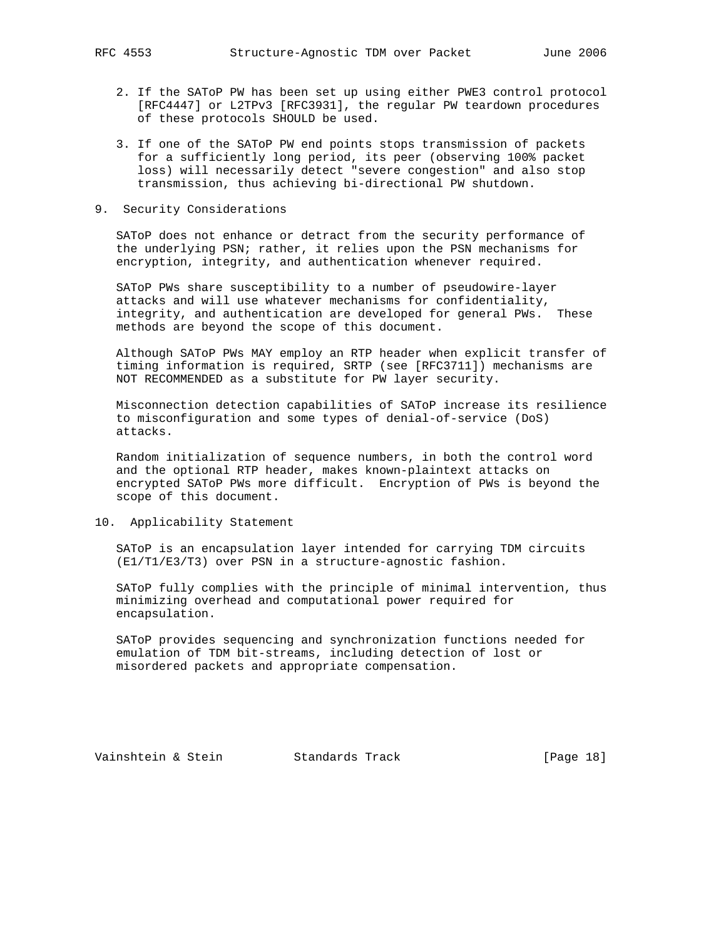- 2. If the SAToP PW has been set up using either PWE3 control protocol [RFC4447] or L2TPv3 [RFC3931], the regular PW teardown procedures of these protocols SHOULD be used.
- 3. If one of the SAToP PW end points stops transmission of packets for a sufficiently long period, its peer (observing 100% packet loss) will necessarily detect "severe congestion" and also stop transmission, thus achieving bi-directional PW shutdown.
- 9. Security Considerations

 SAToP does not enhance or detract from the security performance of the underlying PSN; rather, it relies upon the PSN mechanisms for encryption, integrity, and authentication whenever required.

 SAToP PWs share susceptibility to a number of pseudowire-layer attacks and will use whatever mechanisms for confidentiality, integrity, and authentication are developed for general PWs. These methods are beyond the scope of this document.

 Although SAToP PWs MAY employ an RTP header when explicit transfer of timing information is required, SRTP (see [RFC3711]) mechanisms are NOT RECOMMENDED as a substitute for PW layer security.

 Misconnection detection capabilities of SAToP increase its resilience to misconfiguration and some types of denial-of-service (DoS) attacks.

 Random initialization of sequence numbers, in both the control word and the optional RTP header, makes known-plaintext attacks on encrypted SAToP PWs more difficult. Encryption of PWs is beyond the scope of this document.

10. Applicability Statement

 SAToP is an encapsulation layer intended for carrying TDM circuits (E1/T1/E3/T3) over PSN in a structure-agnostic fashion.

 SAToP fully complies with the principle of minimal intervention, thus minimizing overhead and computational power required for encapsulation.

 SAToP provides sequencing and synchronization functions needed for emulation of TDM bit-streams, including detection of lost or misordered packets and appropriate compensation.

Vainshtein & Stein Standards Track [Page 18]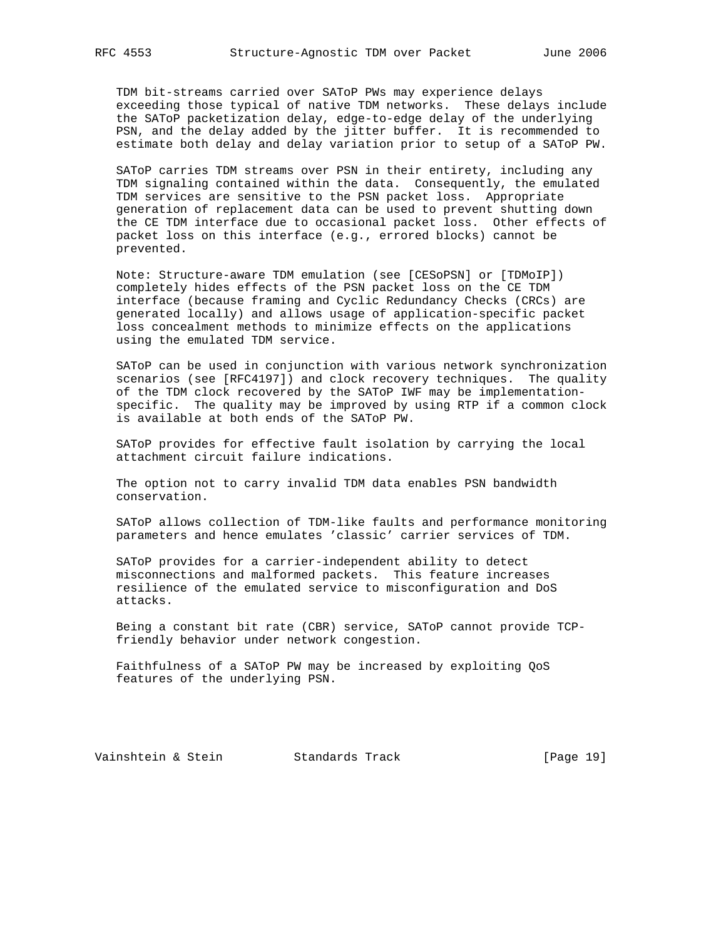TDM bit-streams carried over SAToP PWs may experience delays exceeding those typical of native TDM networks. These delays include the SAToP packetization delay, edge-to-edge delay of the underlying PSN, and the delay added by the jitter buffer. It is recommended to estimate both delay and delay variation prior to setup of a SAToP PW.

 SAToP carries TDM streams over PSN in their entirety, including any TDM signaling contained within the data. Consequently, the emulated TDM services are sensitive to the PSN packet loss. Appropriate generation of replacement data can be used to prevent shutting down the CE TDM interface due to occasional packet loss. Other effects of packet loss on this interface (e.g., errored blocks) cannot be prevented.

 Note: Structure-aware TDM emulation (see [CESoPSN] or [TDMoIP]) completely hides effects of the PSN packet loss on the CE TDM interface (because framing and Cyclic Redundancy Checks (CRCs) are generated locally) and allows usage of application-specific packet loss concealment methods to minimize effects on the applications using the emulated TDM service.

 SAToP can be used in conjunction with various network synchronization scenarios (see [RFC4197]) and clock recovery techniques. The quality of the TDM clock recovered by the SAToP IWF may be implementation specific. The quality may be improved by using RTP if a common clock is available at both ends of the SAToP PW.

 SAToP provides for effective fault isolation by carrying the local attachment circuit failure indications.

 The option not to carry invalid TDM data enables PSN bandwidth conservation.

 SAToP allows collection of TDM-like faults and performance monitoring parameters and hence emulates 'classic' carrier services of TDM.

 SAToP provides for a carrier-independent ability to detect misconnections and malformed packets. This feature increases resilience of the emulated service to misconfiguration and DoS attacks.

 Being a constant bit rate (CBR) service, SAToP cannot provide TCP friendly behavior under network congestion.

 Faithfulness of a SAToP PW may be increased by exploiting QoS features of the underlying PSN.

Vainshtein & Stein Standards Track [Page 19]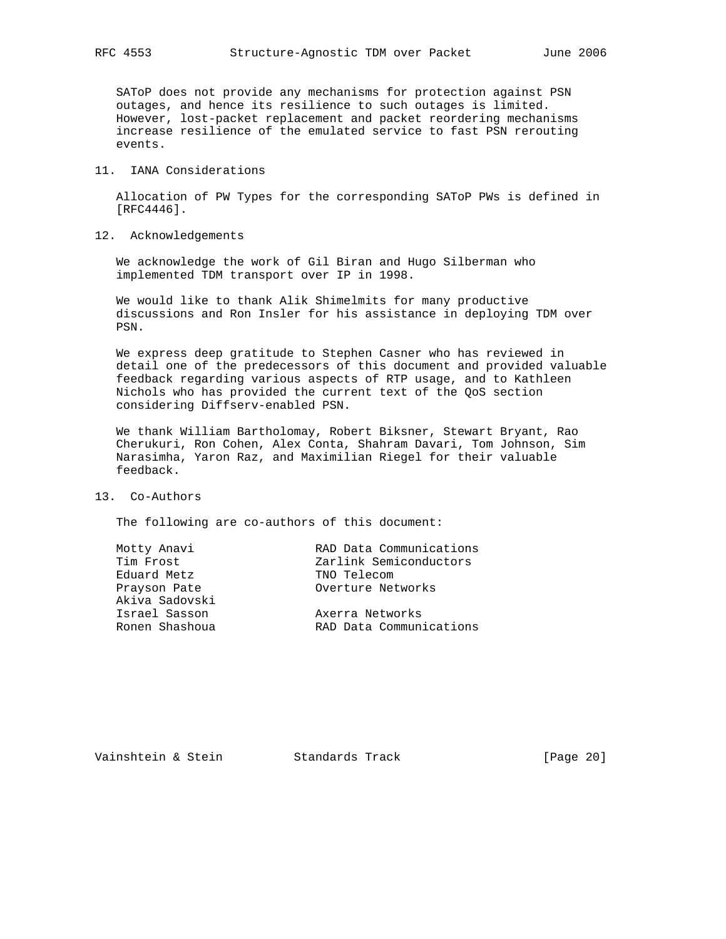SAToP does not provide any mechanisms for protection against PSN outages, and hence its resilience to such outages is limited. However, lost-packet replacement and packet reordering mechanisms increase resilience of the emulated service to fast PSN rerouting events.

#### 11. IANA Considerations

 Allocation of PW Types for the corresponding SAToP PWs is defined in [RFC4446].

12. Acknowledgements

 We acknowledge the work of Gil Biran and Hugo Silberman who implemented TDM transport over IP in 1998.

 We would like to thank Alik Shimelmits for many productive discussions and Ron Insler for his assistance in deploying TDM over PSN.

 We express deep gratitude to Stephen Casner who has reviewed in detail one of the predecessors of this document and provided valuable feedback regarding various aspects of RTP usage, and to Kathleen Nichols who has provided the current text of the QoS section considering Diffserv-enabled PSN.

 We thank William Bartholomay, Robert Biksner, Stewart Bryant, Rao Cherukuri, Ron Cohen, Alex Conta, Shahram Davari, Tom Johnson, Sim Narasimha, Yaron Raz, and Maximilian Riegel for their valuable feedback.

#### 13. Co-Authors

The following are co-authors of this document:

| Motty Anavi    | RAD Data Communications |
|----------------|-------------------------|
| Tim Frost      | Zarlink Semiconductors  |
| Eduard Metz    | TNO Telecom             |
| Prayson Pate   | Overture Networks       |
| Akiva Sadovski |                         |
| Israel Sasson  | Axerra Networks         |
| Ronen Shashoua | RAD Data Communications |
|                |                         |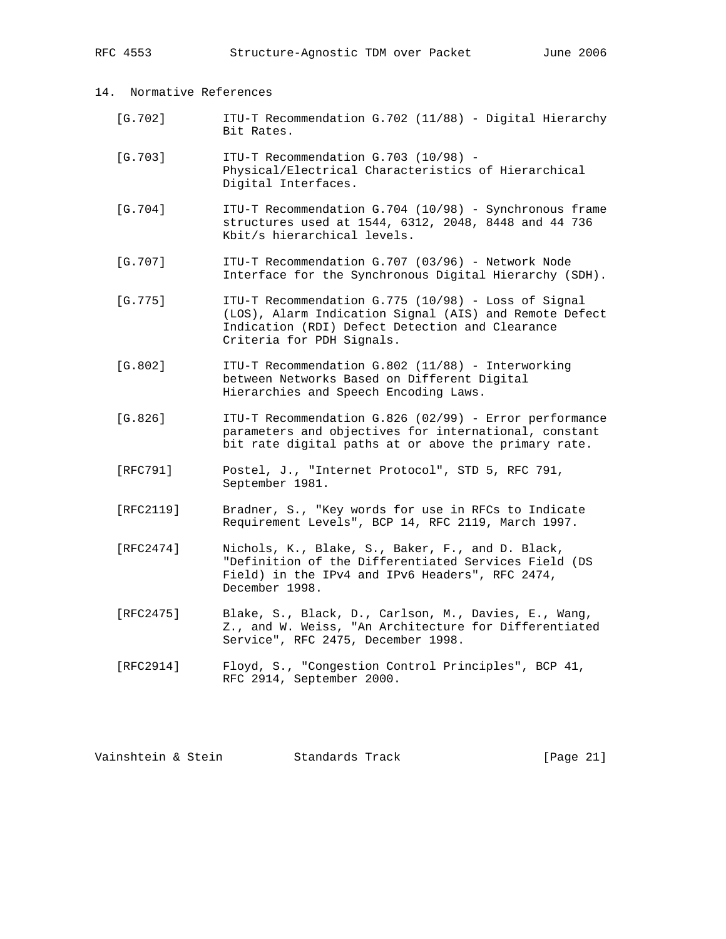RFC 4553 Structure-Agnostic TDM over Packet June 2006

# 14. Normative References

- [G.702] ITU-T Recommendation G.702 (11/88) Digital Hierarchy Bit Rates.
- [G.703] ITU-T Recommendation G.703 (10/98) - Physical/Electrical Characteristics of Hierarchical Digital Interfaces.
- [G.704] ITU-T Recommendation G.704 (10/98) Synchronous frame structures used at 1544, 6312, 2048, 8448 and 44 736 Kbit/s hierarchical levels.
- [G.707] ITU-T Recommendation G.707 (03/96) Network Node Interface for the Synchronous Digital Hierarchy (SDH).
- [G.775] ITU-T Recommendation G.775 (10/98) Loss of Signal (LOS), Alarm Indication Signal (AIS) and Remote Defect Indication (RDI) Defect Detection and Clearance Criteria for PDH Signals.
- [G.802] ITU-T Recommendation G.802 (11/88) Interworking between Networks Based on Different Digital Hierarchies and Speech Encoding Laws.
- [G.826] ITU-T Recommendation G.826 (02/99) Error performance parameters and objectives for international, constant bit rate digital paths at or above the primary rate.
- [RFC791] Postel, J., "Internet Protocol", STD 5, RFC 791, September 1981.
- [RFC2119] Bradner, S., "Key words for use in RFCs to Indicate Requirement Levels", BCP 14, RFC 2119, March 1997.
- [RFC2474] Nichols, K., Blake, S., Baker, F., and D. Black, "Definition of the Differentiated Services Field (DS Field) in the IPv4 and IPv6 Headers", RFC 2474, December 1998.
- [RFC2475] Blake, S., Black, D., Carlson, M., Davies, E., Wang, Z., and W. Weiss, "An Architecture for Differentiated Service", RFC 2475, December 1998.
- [RFC2914] Floyd, S., "Congestion Control Principles", BCP 41, RFC 2914, September 2000.

Vainshtein & Stein Standards Track [Page 21]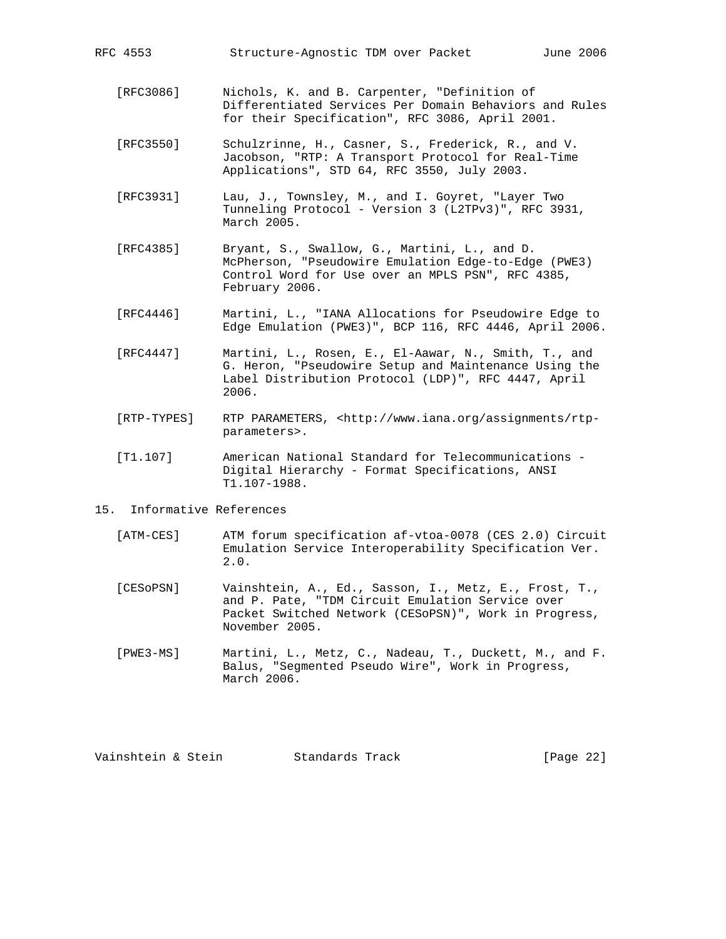- [RFC3086] Nichols, K. and B. Carpenter, "Definition of Differentiated Services Per Domain Behaviors and Rules for their Specification", RFC 3086, April 2001.
- [RFC3550] Schulzrinne, H., Casner, S., Frederick, R., and V. Jacobson, "RTP: A Transport Protocol for Real-Time Applications", STD 64, RFC 3550, July 2003.
- [RFC3931] Lau, J., Townsley, M., and I. Goyret, "Layer Two Tunneling Protocol - Version 3 (L2TPv3)", RFC 3931, March 2005.
- [RFC4385] Bryant, S., Swallow, G., Martini, L., and D. McPherson, "Pseudowire Emulation Edge-to-Edge (PWE3) Control Word for Use over an MPLS PSN", RFC 4385, February 2006.
- [RFC4446] Martini, L., "IANA Allocations for Pseudowire Edge to Edge Emulation (PWE3)", BCP 116, RFC 4446, April 2006.
- [RFC4447] Martini, L., Rosen, E., El-Aawar, N., Smith, T., and G. Heron, "Pseudowire Setup and Maintenance Using the Label Distribution Protocol (LDP)", RFC 4447, April 2006.
- [RTP-TYPES] RTP PARAMETERS, <http://www.iana.org/assignments/rtp parameters>.
- [T1.107] American National Standard for Telecommunications Digital Hierarchy - Format Specifications, ANSI T1.107-1988.
- 15. Informative References
	- [ATM-CES] ATM forum specification af-vtoa-0078 (CES 2.0) Circuit Emulation Service Interoperability Specification Ver. 2.0.
	- [CESoPSN] Vainshtein, A., Ed., Sasson, I., Metz, E., Frost, T., and P. Pate, "TDM Circuit Emulation Service over Packet Switched Network (CESoPSN)", Work in Progress, November 2005.
	- [PWE3-MS] Martini, L., Metz, C., Nadeau, T., Duckett, M., and F. Balus, "Segmented Pseudo Wire", Work in Progress, March 2006.

Vainshtein & Stein Standards Track [Page 22]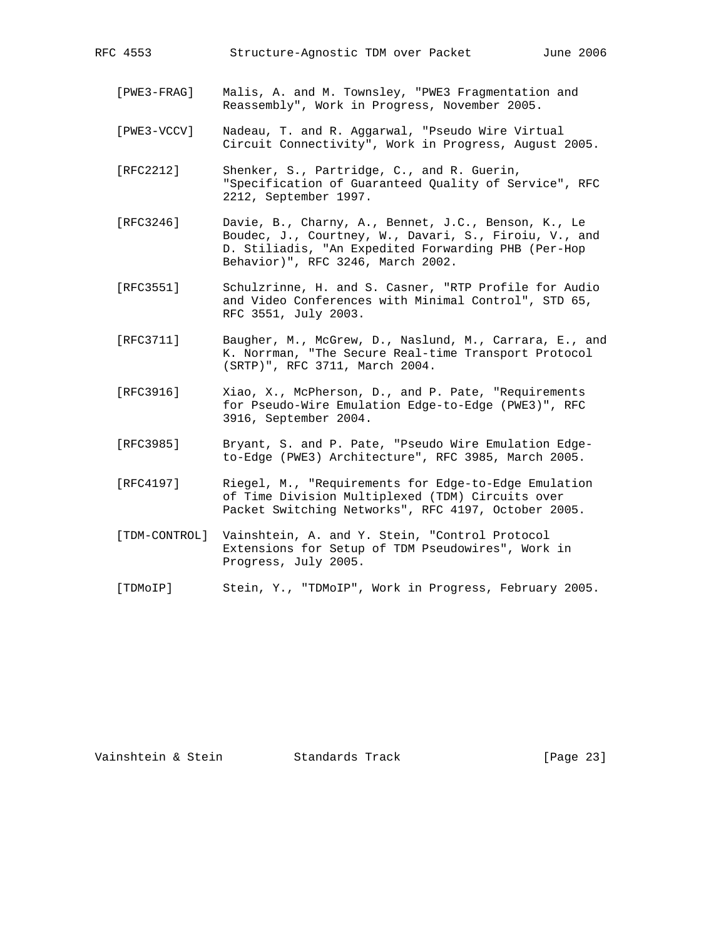- [PWE3-FRAG] Malis, A. and M. Townsley, "PWE3 Fragmentation and Reassembly", Work in Progress, November 2005.
- [PWE3-VCCV] Nadeau, T. and R. Aggarwal, "Pseudo Wire Virtual Circuit Connectivity", Work in Progress, August 2005.
- [RFC2212] Shenker, S., Partridge, C., and R. Guerin, "Specification of Guaranteed Quality of Service", RFC 2212, September 1997.
- [RFC3246] Davie, B., Charny, A., Bennet, J.C., Benson, K., Le Boudec, J., Courtney, W., Davari, S., Firoiu, V., and D. Stiliadis, "An Expedited Forwarding PHB (Per-Hop Behavior)", RFC 3246, March 2002.
- [RFC3551] Schulzrinne, H. and S. Casner, "RTP Profile for Audio and Video Conferences with Minimal Control", STD 65, RFC 3551, July 2003.
- [RFC3711] Baugher, M., McGrew, D., Naslund, M., Carrara, E., and K. Norrman, "The Secure Real-time Transport Protocol (SRTP)", RFC 3711, March 2004.
- [RFC3916] Xiao, X., McPherson, D., and P. Pate, "Requirements for Pseudo-Wire Emulation Edge-to-Edge (PWE3)", RFC 3916, September 2004.
- [RFC3985] Bryant, S. and P. Pate, "Pseudo Wire Emulation Edge to-Edge (PWE3) Architecture", RFC 3985, March 2005.
- [RFC4197] Riegel, M., "Requirements for Edge-to-Edge Emulation of Time Division Multiplexed (TDM) Circuits over Packet Switching Networks", RFC 4197, October 2005.
- [TDM-CONTROL] Vainshtein, A. and Y. Stein, "Control Protocol Extensions for Setup of TDM Pseudowires", Work in Progress, July 2005.
- [TDMoIP] Stein, Y., "TDMoIP", Work in Progress, February 2005.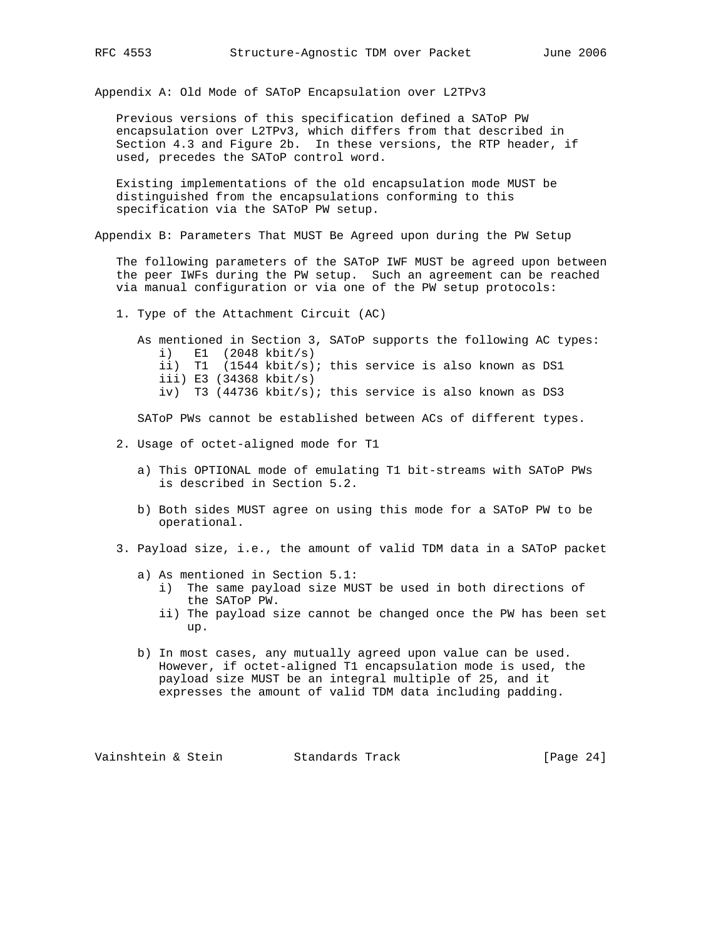Appendix A: Old Mode of SAToP Encapsulation over L2TPv3

 Previous versions of this specification defined a SAToP PW encapsulation over L2TPv3, which differs from that described in Section 4.3 and Figure 2b. In these versions, the RTP header, if used, precedes the SAToP control word.

 Existing implementations of the old encapsulation mode MUST be distinguished from the encapsulations conforming to this specification via the SAToP PW setup.

Appendix B: Parameters That MUST Be Agreed upon during the PW Setup

 The following parameters of the SAToP IWF MUST be agreed upon between the peer IWFs during the PW setup. Such an agreement can be reached via manual configuration or via one of the PW setup protocols:

1. Type of the Attachment Circuit (AC)

 As mentioned in Section 3, SAToP supports the following AC types: i) E1 (2048 kbit/s) ii) T1 (1544 kbit/s); this service is also known as DS1 iii) E3 (34368 kbit/s) iv) T3 (44736 kbit/s); this service is also known as DS3

SAToP PWs cannot be established between ACs of different types.

- 2. Usage of octet-aligned mode for T1
	- a) This OPTIONAL mode of emulating T1 bit-streams with SAToP PWs is described in Section 5.2.
	- b) Both sides MUST agree on using this mode for a SAToP PW to be operational.
- 3. Payload size, i.e., the amount of valid TDM data in a SAToP packet
	- a) As mentioned in Section 5.1:
		- i) The same payload size MUST be used in both directions of the SAToP PW.
		- ii) The payload size cannot be changed once the PW has been set up.
	- b) In most cases, any mutually agreed upon value can be used. However, if octet-aligned T1 encapsulation mode is used, the payload size MUST be an integral multiple of 25, and it expresses the amount of valid TDM data including padding.

Vainshtein & Stein Standards Track [Page 24]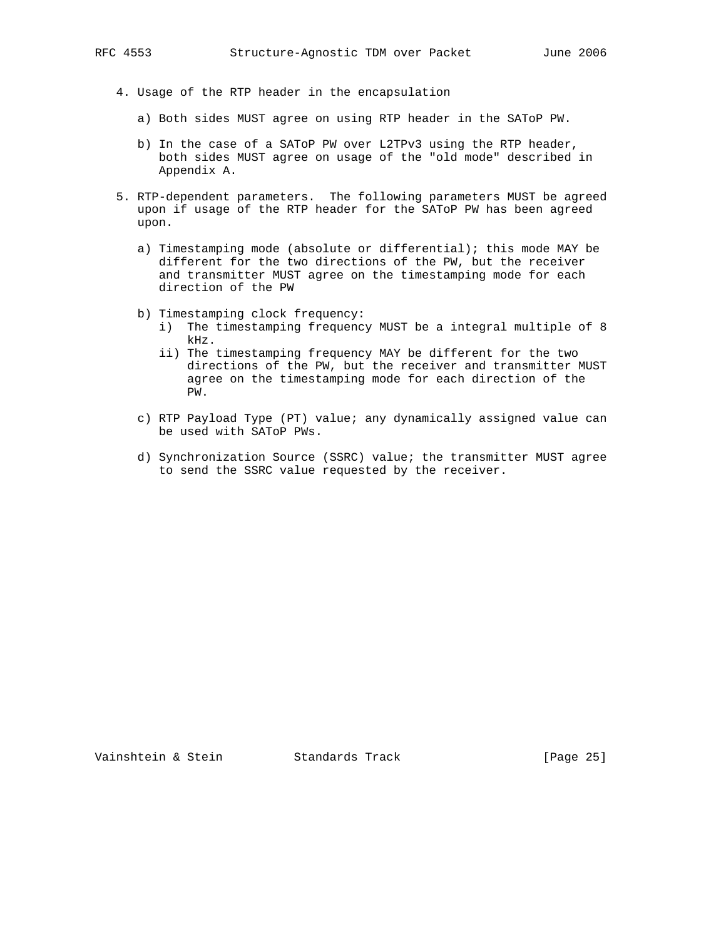- 4. Usage of the RTP header in the encapsulation
	- a) Both sides MUST agree on using RTP header in the SAToP PW.
	- b) In the case of a SAToP PW over L2TPv3 using the RTP header, both sides MUST agree on usage of the "old mode" described in Appendix A.
- 5. RTP-dependent parameters. The following parameters MUST be agreed upon if usage of the RTP header for the SAToP PW has been agreed upon.
	- a) Timestamping mode (absolute or differential); this mode MAY be different for the two directions of the PW, but the receiver and transmitter MUST agree on the timestamping mode for each direction of the PW
	- b) Timestamping clock frequency:
		- i) The timestamping frequency MUST be a integral multiple of 8 kHz.
		- ii) The timestamping frequency MAY be different for the two directions of the PW, but the receiver and transmitter MUST agree on the timestamping mode for each direction of the PW.
	- c) RTP Payload Type (PT) value; any dynamically assigned value can be used with SAToP PWs.
	- d) Synchronization Source (SSRC) value; the transmitter MUST agree to send the SSRC value requested by the receiver.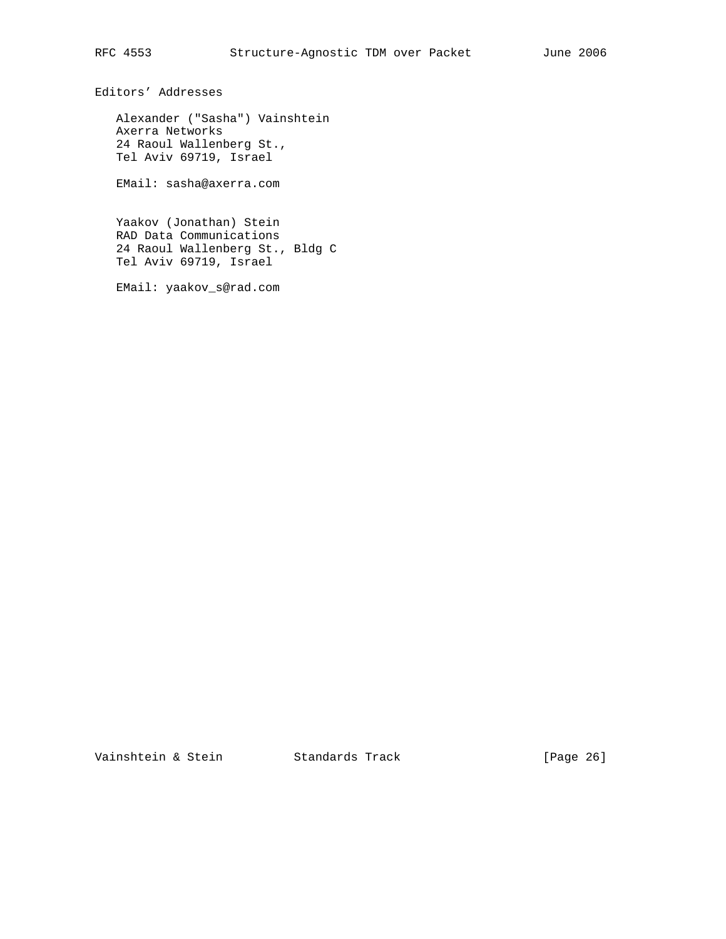Editors' Addresses

 Alexander ("Sasha") Vainshtein Axerra Networks 24 Raoul Wallenberg St., Tel Aviv 69719, Israel

EMail: sasha@axerra.com

 Yaakov (Jonathan) Stein RAD Data Communications 24 Raoul Wallenberg St., Bldg C Tel Aviv 69719, Israel

EMail: yaakov\_s@rad.com